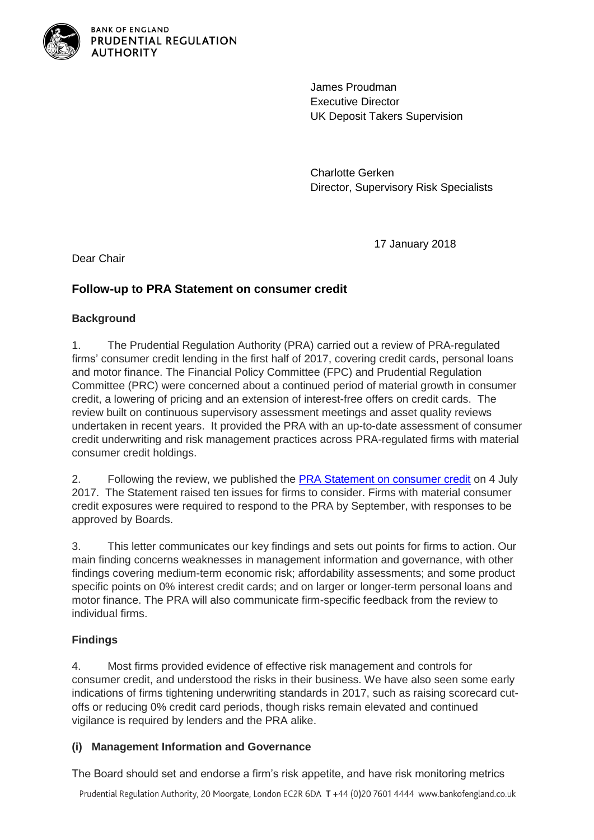

**BANK OF ENGLAND** PRUDENTIAL REGULATION **AUTHORITY** 

> James Proudman Executive Director UK Deposit Takers Supervision

Charlotte Gerken Director, Supervisory Risk Specialists

17 January 2018

Dear Chair

# **Follow-up to PRA Statement on consumer credit**

## **Background**

1. The Prudential Regulation Authority (PRA) carried out a review of PRA-regulated firms' consumer credit lending in the first half of 2017, covering credit cards, personal loans and motor finance. The Financial Policy Committee (FPC) and Prudential Regulation Committee (PRC) were concerned about a continued period of material growth in consumer credit, a lowering of pricing and an extension of interest-free offers on credit cards. The review built on continuous supervisory assessment meetings and asset quality reviews undertaken in recent years. It provided the PRA with an up-to-date assessment of consumer credit underwriting and risk management practices across PRA-regulated firms with material consumer credit holdings.

2. Following the review, we published the [PRA Statement on consumer credit](http://www.bankofengland.co.uk/pra/Documents/publications/reports/prastatement0717.pdf) on 4 July 2017. The Statement raised ten issues for firms to consider. Firms with material consumer credit exposures were required to respond to the PRA by September, with responses to be approved by Boards.

3. This letter communicates our key findings and sets out points for firms to action. Our main finding concerns weaknesses in management information and governance, with other findings covering medium-term economic risk; affordability assessments; and some product specific points on 0% interest credit cards; and on larger or longer-term personal loans and motor finance. The PRA will also communicate firm-specific feedback from the review to individual firms.

# **Findings**

4. Most firms provided evidence of effective risk management and controls for consumer credit, and understood the risks in their business. We have also seen some early indications of firms tightening underwriting standards in 2017, such as raising scorecard cutoffs or reducing 0% credit card periods, though risks remain elevated and continued vigilance is required by lenders and the PRA alike.

# **(i) Management Information and Governance**

The Board should set and endorse a firm's risk appetite, and have risk monitoring metrics

Prudential Regulation Authority, 20 Moorgate, London EC2R 6DA T +44 (0)20 7601 4444 www.bankofengland.co.uk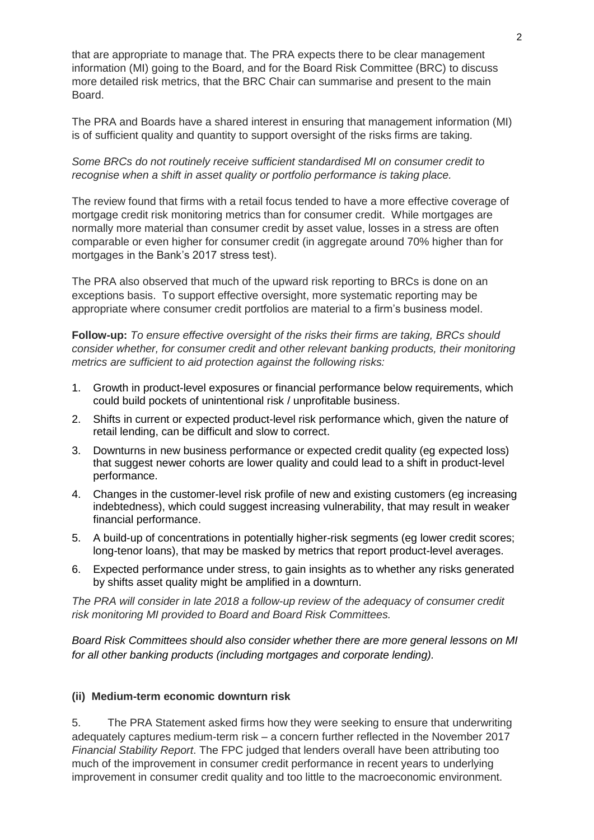that are appropriate to manage that. The PRA expects there to be clear management information (MI) going to the Board, and for the Board Risk Committee (BRC) to discuss more detailed risk metrics, that the BRC Chair can summarise and present to the main Board.

The PRA and Boards have a shared interest in ensuring that management information (MI) is of sufficient quality and quantity to support oversight of the risks firms are taking.

#### *Some BRCs do not routinely receive sufficient standardised MI on consumer credit to recognise when a shift in asset quality or portfolio performance is taking place.*

The review found that firms with a retail focus tended to have a more effective coverage of mortgage credit risk monitoring metrics than for consumer credit. While mortgages are normally more material than consumer credit by asset value, losses in a stress are often comparable or even higher for consumer credit (in aggregate around 70% higher than for mortgages in the Bank's 2017 stress test).

The PRA also observed that much of the upward risk reporting to BRCs is done on an exceptions basis. To support effective oversight, more systematic reporting may be appropriate where consumer credit portfolios are material to a firm's business model.

**Follow-up:** *To ensure effective oversight of the risks their firms are taking, BRCs should consider whether, for consumer credit and other relevant banking products, their monitoring metrics are sufficient to aid protection against the following risks:*

- 1. Growth in product-level exposures or financial performance below requirements, which could build pockets of unintentional risk / unprofitable business.
- 2. Shifts in current or expected product-level risk performance which, given the nature of retail lending, can be difficult and slow to correct.
- 3. Downturns in new business performance or expected credit quality (eg expected loss) that suggest newer cohorts are lower quality and could lead to a shift in product-level performance.
- 4. Changes in the customer-level risk profile of new and existing customers (eg increasing indebtedness), which could suggest increasing vulnerability, that may result in weaker financial performance.
- 5. A build-up of concentrations in potentially higher-risk segments (eg lower credit scores; long-tenor loans), that may be masked by metrics that report product-level averages.
- 6. Expected performance under stress, to gain insights as to whether any risks generated by shifts asset quality might be amplified in a downturn.

*The PRA will consider in late 2018 a follow-up review of the adequacy of consumer credit risk monitoring MI provided to Board and Board Risk Committees.*

*Board Risk Committees should also consider whether there are more general lessons on MI for all other banking products (including mortgages and corporate lending).*

#### **(ii) Medium-term economic downturn risk**

5. The PRA Statement asked firms how they were seeking to ensure that underwriting adequately captures medium-term risk – a concern further reflected in the November 2017 *Financial Stability Report*. The FPC judged that lenders overall have been attributing too much of the improvement in consumer credit performance in recent years to underlying improvement in consumer credit quality and too little to the macroeconomic environment.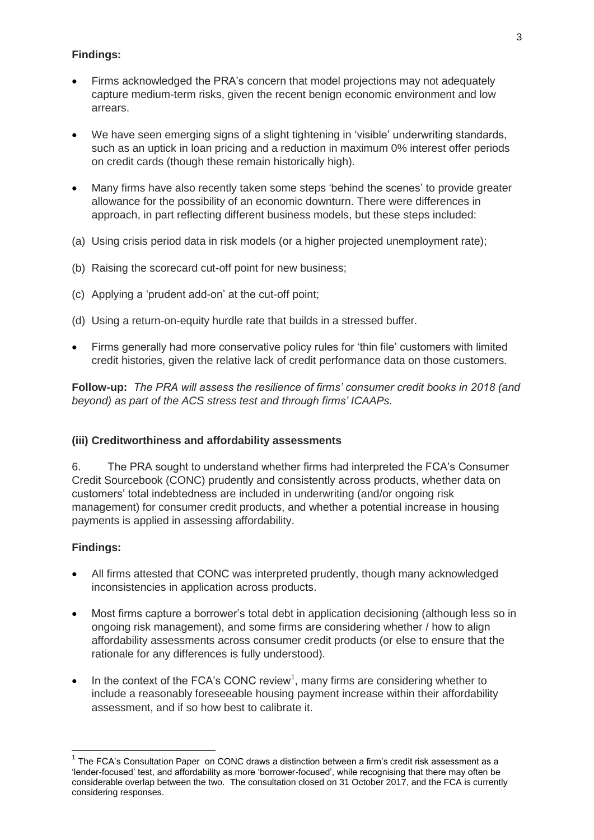### **Findings:**

- Firms acknowledged the PRA's concern that model projections may not adequately capture medium-term risks, given the recent benign economic environment and low arrears.
- We have seen emerging signs of a slight tightening in 'visible' underwriting standards, such as an uptick in loan pricing and a reduction in maximum 0% interest offer periods on credit cards (though these remain historically high).
- Many firms have also recently taken some steps 'behind the scenes' to provide greater allowance for the possibility of an economic downturn. There were differences in approach, in part reflecting different business models, but these steps included:
- (a) Using crisis period data in risk models (or a higher projected unemployment rate);
- (b) Raising the scorecard cut-off point for new business;
- (c) Applying a 'prudent add-on' at the cut-off point;
- (d) Using a return-on-equity hurdle rate that builds in a stressed buffer.
- Firms generally had more conservative policy rules for 'thin file' customers with limited credit histories, given the relative lack of credit performance data on those customers.

**Follow-up:** *The PRA will assess the resilience of firms' consumer credit books in 2018 (and beyond) as part of the ACS stress test and through firms' ICAAPs.*

#### **(iii) Creditworthiness and affordability assessments**

6. The PRA sought to understand whether firms had interpreted the FCA's Consumer Credit Sourcebook (CONC) prudently and consistently across products, whether data on customers' total indebtedness are included in underwriting (and/or ongoing risk management) for consumer credit products, and whether a potential increase in housing payments is applied in assessing affordability.

#### **Findings:**

 $\overline{\phantom{a}}$ 

- All firms attested that CONC was interpreted prudently, though many acknowledged inconsistencies in application across products.
- Most firms capture a borrower's total debt in application decisioning (although less so in ongoing risk management), and some firms are considering whether / how to align affordability assessments across consumer credit products (or else to ensure that the rationale for any differences is fully understood).
- $\bullet$  In the context of the FCA's CONC review<sup>1</sup>, many firms are considering whether to include a reasonably foreseeable housing payment increase within their affordability assessment, and if so how best to calibrate it.

 $1$  The FCA's Consultation Paper on CONC draws a distinction between a firm's credit risk assessment as a 'lender-focused' test, and affordability as more 'borrower-focused', while recognising that there may often be considerable overlap between the two. The consultation closed on 31 October 2017, and the FCA is currently considering responses.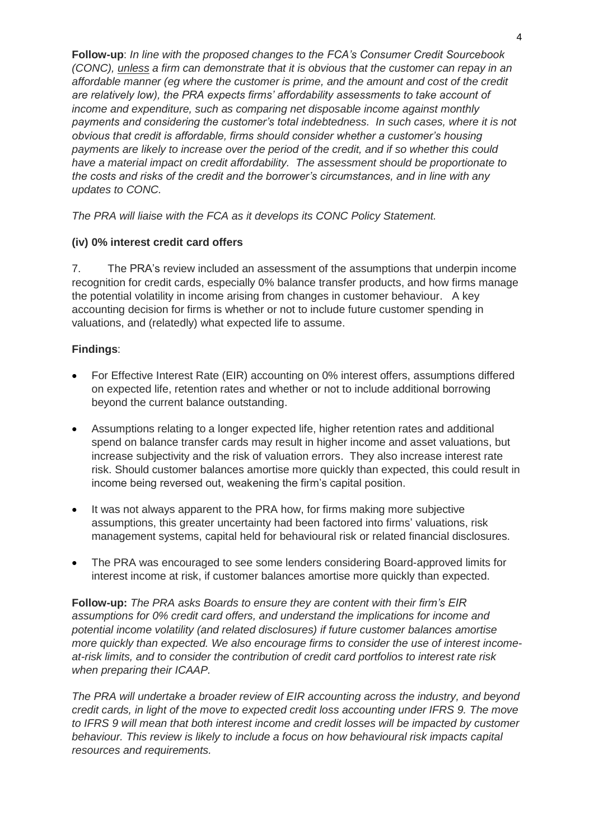**Follow-up**: *In line with the proposed changes to the FCA's Consumer Credit Sourcebook (CONC), unless a firm can demonstrate that it is obvious that the customer can repay in an affordable manner (eg where the customer is prime, and the amount and cost of the credit are relatively low), the PRA expects firms' affordability assessments to take account of income and expenditure, such as comparing net disposable income against monthly payments and considering the customer's total indebtedness. In such cases, where it is not obvious that credit is affordable, firms should consider whether a customer's housing payments are likely to increase over the period of the credit, and if so whether this could have a material impact on credit affordability. The assessment should be proportionate to the costs and risks of the credit and the borrower's circumstances, and in line with any updates to CONC.*

*The PRA will liaise with the FCA as it develops its CONC Policy Statement.*

### **(iv) 0% interest credit card offers**

7. The PRA's review included an assessment of the assumptions that underpin income recognition for credit cards, especially 0% balance transfer products, and how firms manage the potential volatility in income arising from changes in customer behaviour. A key accounting decision for firms is whether or not to include future customer spending in valuations, and (relatedly) what expected life to assume.

### **Findings**:

- For Effective Interest Rate (EIR) accounting on 0% interest offers, assumptions differed on expected life, retention rates and whether or not to include additional borrowing beyond the current balance outstanding.
- Assumptions relating to a longer expected life, higher retention rates and additional spend on balance transfer cards may result in higher income and asset valuations, but increase subjectivity and the risk of valuation errors. They also increase interest rate risk. Should customer balances amortise more quickly than expected, this could result in income being reversed out, weakening the firm's capital position.
- It was not always apparent to the PRA how, for firms making more subjective assumptions, this greater uncertainty had been factored into firms' valuations, risk management systems, capital held for behavioural risk or related financial disclosures.
- The PRA was encouraged to see some lenders considering Board-approved limits for interest income at risk, if customer balances amortise more quickly than expected.

**Follow-up:** *The PRA asks Boards to ensure they are content with their firm's EIR assumptions for 0% credit card offers, and understand the implications for income and potential income volatility (and related disclosures) if future customer balances amortise more quickly than expected. We also encourage firms to consider the use of interest incomeat-risk limits, and to consider the contribution of credit card portfolios to interest rate risk when preparing their ICAAP.* 

*The PRA will undertake a broader review of EIR accounting across the industry, and beyond credit cards, in light of the move to expected credit loss accounting under IFRS 9. The move to IFRS 9 will mean that both interest income and credit losses will be impacted by customer behaviour. This review is likely to include a focus on how behavioural risk impacts capital resources and requirements.*